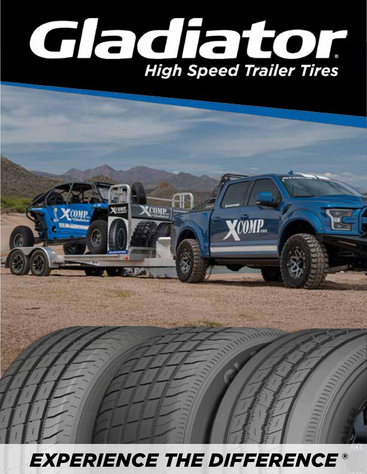



### $EXPERIENCE THE DIFFERENCE<sup>®</sup>$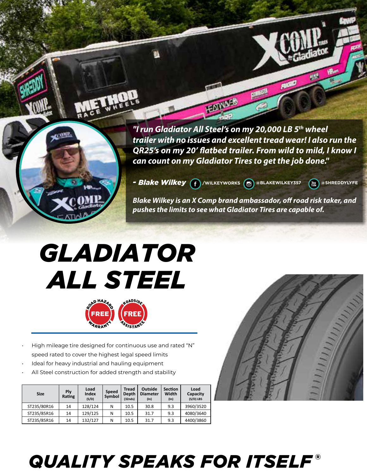

*"I run Gladiator All Steel's on my 20,000 LB 5th wheel trailer with no issues and excellent tread wear! I also run the QR25's on my 20' flatbed trailer. From wild to mild, I know I can count on my Gladiator Tires to get the job done."*

HEATIVA

*- Blake Wilkey* **(f)**/wilkeyworks @@BLAKEWILKEY357 (a)@SHREDDYLYFE

*Blake Wilkey is an X Comp brand ambassador, off road risk taker, and pushes the limits to see what Gladiator Tires are capable of.* 

# *GLADIATOR ALL STEEL*



- High mileage tire designed for continuous use and rated "N" speed rated to cover the highest legal speed limits
- Ideal for heavy industrial and hauling equipment
- All Steel construction for added strength and stability

| <b>Size</b> | Plv<br>Rating | Load<br>Index<br>(S/D) | <b>Speed</b><br>Symbol | <b>Tread</b><br>Depth<br>(32nds) | <b>Outside</b><br><b>Diameter</b><br>(ln) | <b>Section</b><br>Width<br>(ln) | Load<br>Capacity<br>$(S/D)$ LBS |
|-------------|---------------|------------------------|------------------------|----------------------------------|-------------------------------------------|---------------------------------|---------------------------------|
| ST235/80R16 | 14            | 128/124                | N                      | 10.5                             | 30.8                                      | 9.3                             | 3960/3520                       |
| ST235/85R16 | 14            | 129/125                | N                      | 10.5                             | 31.7                                      | 9.3                             | 4080/3640                       |
| ST235/85R16 | 14            | 132/127                | N                      | 10.5                             | 31.7                                      | 9.3                             | 4400/3860                       |



## *QUALITY SPEAKS FOR ITSELF* ®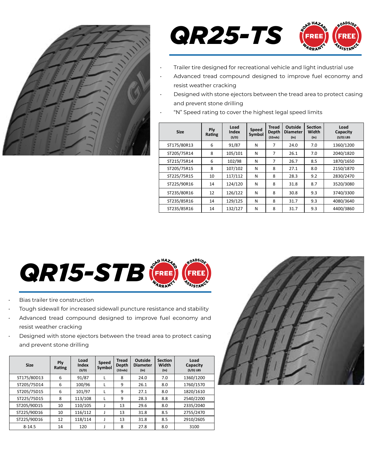



- Trailer tire designed for recreational vehicle and light industrial use
- Advanced tread compound designed to improve fuel economy and resist weather cracking
- Designed with stone ejectors between the tread area to protect casing and prevent stone drilling
- "N" Speed rating to cover the highest legal speed limits

| <b>Size</b> | Ply<br>Rating | Load<br>Index<br>(S/D) | Speed<br>Symbol | <b>Tread</b><br>Depth<br>(32nds) | Outside<br><b>Diameter</b><br>$(\ln)$ | <b>Section</b><br>Width<br>$(\ln)$ | Load<br>Capacity<br>$(S/D)$ LBS |
|-------------|---------------|------------------------|-----------------|----------------------------------|---------------------------------------|------------------------------------|---------------------------------|
| ST175/80R13 | 6             | 91/87                  | N               | 7                                | 24.0                                  | 7.0                                | 1360/1200                       |
| ST205/75R14 | 8             | 105/101                | N               | 7                                | 26.1                                  | 7.0                                | 2040/1820                       |
| ST215/75R14 | 6             | 102/98                 | N               | 7                                | 26.7                                  | 8.5                                | 1870/1650                       |
| ST205/75R15 | 8             | 107/102                | N               | 8                                | 27.1                                  | 8.0                                | 2150/1870                       |
| ST225/75R15 | 10            | 117/112                | N               | 8                                | 28.3                                  | 9.2                                | 2830/2470                       |
| ST225/90R16 | 14            | 124/120                | N               | 8                                | 31.8                                  | 8.7                                | 3520/3080                       |
| ST235/80R16 | 12            | 126/122                | N               | 8                                | 30.8                                  | 9.3                                | 3740/3300                       |
| ST235/85R16 | 14            | 129/125                | N               | 8                                | 31.7                                  | 9.3                                | 4080/3640                       |
| ST235/85R16 | 14            | 132/127                | N               | 8                                | 31.7                                  | 9.3                                | 4400/3860                       |



- Bias trailer tire construction
- Tough sidewall for increased sidewall puncture resistance and stability
- Advanced tread compound designed to improve fuel economy and resist weather cracking
- Designed with stone ejectors between the tread area to protect casing and prevent stone drilling

| <b>Size</b> | Ply<br>Rating | Load<br>Index<br>(S/D) | Speed<br>Symbol | <b>Tread</b><br>Depth<br>(32nds) | Outside<br><b>Diameter</b><br>$(\ln)$ | <b>Section</b><br>Width<br>$(\ln)$ | Load<br>Capacity<br>$(S/D)$ LBS |
|-------------|---------------|------------------------|-----------------|----------------------------------|---------------------------------------|------------------------------------|---------------------------------|
| ST175/80D13 | 6             | 91/87                  | L               | 8                                | 24.0                                  | 7.0                                | 1360/1200                       |
| ST205/75D14 | 6             | 100/96                 | L               | 9                                | 26.1                                  | 8.0                                | 1760/1570                       |
| ST205/75D15 | 6             | 101/97                 |                 | 9                                | 27.1                                  | 8.0                                | 1820/1610                       |
| ST225/75D15 | 8             | 113/108                | L               | 9                                | 28.3                                  | 8.8                                | 2540/2200                       |
| ST205/90D15 | 10            | 110/105                | J               | 13                               | 29.6                                  | 8.0                                | 2335/2040                       |
| ST225/90D16 | 10            | 116/112                |                 | 13                               | 31.8                                  | 8.5                                | 2755/2470                       |
| ST225/90D16 | 12            | 118/114                |                 | 13                               | 31.8                                  | 8.5                                | 2910/2605                       |
| $8 - 14.5$  | 14            | 120                    |                 | 8                                | 27.8                                  | 8.0                                | 3100                            |